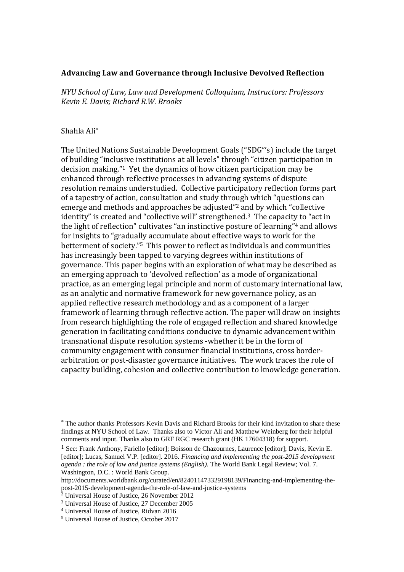## **Advancing Law and Governance through Inclusive Devolved Reflection**

*NYU School of Law, Law and Development Colloquium, Instructors: Professors Kevin E. Davis; Richard R.W. Brooks*

## Shahla Ali

 $\overline{a}$ 

The United Nations Sustainable Development Goals ("SDG"'s) include the target of building "inclusive institutions at all levels" through "citizen participation in decision making." <sup>1</sup> Yet the dynamics of how citizen participation may be enhanced through reflective processes in advancing systems of dispute resolution remains understudied. Collective participatory reflection forms part of a tapestry of action, consultation and study through which "questions can emerge and methods and approaches be adjusted"<sup>2</sup> and by which "collective identity" is created and "collective will" strengthened.<sup>3</sup> The capacity to "act in the light of reflection" cultivates "an instinctive posture of learning"<sup>4</sup> and allows for insights to "gradually accumulate about effective ways to work for the betterment of society." <sup>5</sup> This power to reflect as individuals and communities has increasingly been tapped to varying degrees within institutions of governance. This paper begins with an exploration of what may be described as an emerging approach to 'devolved reflection' as a mode of organizational practice, as an emerging legal principle and norm of customary international law, as an analytic and normative framework for new governance policy, as an applied reflective research methodology and as a component of a larger framework of learning through reflective action. The paper will draw on insights from research highlighting the role of engaged reflection and shared knowledge generation in facilitating conditions conducive to dynamic advancement within transnational dispute resolution systems -whether it be in the form of community engagement with consumer financial institutions, cross borderarbitration or post-disaster governance initiatives. The work traces the role of capacity building, cohesion and collective contribution to knowledge generation.

The author thanks Professors Kevin Davis and Richard Brooks for their kind invitation to share these findings at NYU School of Law. Thanks also to Victor Ali and Matthew Weinberg for their helpful comments and input. Thanks also to GRF RGC research grant (HK 17604318) for support.

<sup>1</sup> See: Frank Anthony, Fariello [editor]; Boisson de Chazournes, Laurence [editor]; Davis, Kevin E. [editor]; Lucas, Samuel V.P. [editor]. 2016. *Financing and implementing the post-2015 development agenda : the role of law and justice systems (English)*. The World Bank Legal Review; Vol. 7. Washington, D.C. : World Bank Group.

http://documents.worldbank.org/curated/en/824011473329198139/Financing-and-implementing-thepost-2015-development-agenda-the-role-of-law-and-justice-systems

 $2$  Universal House of Justice, 26 November 2012

<sup>3</sup> Universal House of Justice, 27 December 2005

<sup>4</sup> Universal House of Justice, Ridvan 2016

<sup>5</sup> Universal House of Justice, October 2017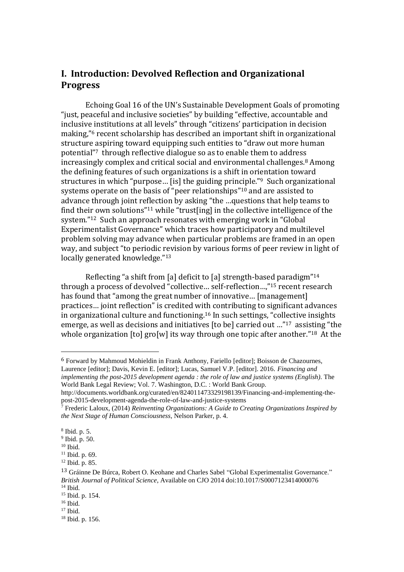## **I. Introduction: Devolved Reflection and Organizational Progress**

Echoing Goal 16 of the UN's Sustainable Development Goals of promoting "just, peaceful and inclusive societies" by building "effective, accountable and inclusive institutions at all levels" through "citizens' participation in decision making," <sup>6</sup> recent scholarship has described an important shift in organizational structure aspiring toward equipping such entities to "draw out more human potential"<sup>7</sup> through reflective dialogue so as to enable them to address increasingly complex and critical social and environmental challenges. <sup>8</sup> Among the defining features of such organizations is a shift in orientation toward structures in which "purpose… [is] the guiding principle." <sup>9</sup> Such organizational systems operate on the basis of "peer relationships"<sup>10</sup> and are assisted to advance through joint reflection by asking "the …questions that help teams to find their own solutions" <sup>11</sup> while "trust[ing] in the collective intelligence of the system." <sup>12</sup> Such an approach resonates with emerging work in "Global Experimentalist Governance" which traces how participatory and multilevel problem solving may advance when particular problems are framed in an open way, and subject "to periodic revision by various forms of peer review in light of locally generated knowledge."<sup>13</sup>

Reflecting "a shift from [a] deficit to [a] strength-based paradigm" 14 through a process of devolved "collective… self-reflection…," <sup>15</sup> recent research has found that "among the great number of innovative... [management] practices… joint reflection" is credited with contributing to significant advances in organizational culture and functioning.<sup>16</sup> In such settings, "collective insights emerge, as well as decisions and initiatives [to be] carried out …"<sup>17</sup> assisting "the whole organization [to] gro[w] its way through one topic after another." <sup>18</sup> At the

6 Forward by Mahmoud Mohieldin in Frank Anthony, Fariello [editor]; Boisson de Chazournes, Laurence [editor]; Davis, Kevin E. [editor]; Lucas, Samuel V.P. [editor]. 2016. *Financing and implementing the post-2015 development agenda : the role of law and justice systems (English)*. The World Bank Legal Review; Vol. 7. Washington, D.C. : World Bank Group.

http://documents.worldbank.org/curated/en/824011473329198139/Financing-and-implementing-thepost-2015-development-agenda-the-role-of-law-and-justice-systems

<sup>7</sup> Frederic Laloux, (2014) *Reinventing Organizations: A Guide to Creating Organizations Inspired by the Next Stage of Human Consciousness*, Nelson Parker, p. 4.

<sup>8</sup> Ibid. p. 5.

<sup>9</sup> Ibid. p. 50.

 $10$  Ibid.

<sup>&</sup>lt;sup>11</sup> Ibid. p. 69.

<sup>12</sup> Ibid. p. 85.

<sup>13</sup> Gráinne De Búrca, Robert O. Keohane and Charles Sabel "Global Experimentalist Governance." *British Journal of Political Science*, Available on CJO 2014 doi:10.1017/S0007123414000076 <sup>14</sup> Ibid.

<sup>15</sup> Ibid. p. 154.

<sup>16</sup> Ibid.

<sup>17</sup> Ibid.

<sup>18</sup> Ibid. p. 156.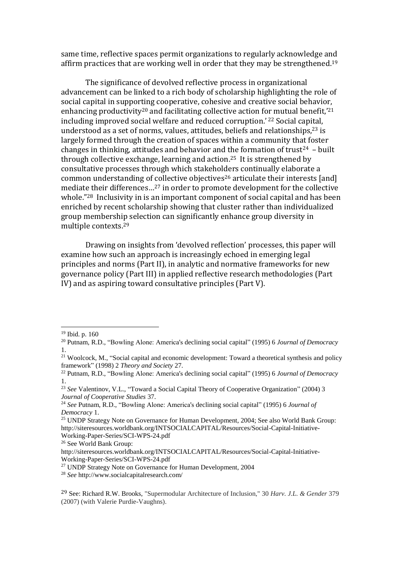same time, reflective spaces permit organizations to regularly acknowledge and affirm practices that are working well in order that they may be strengthened.<sup>19</sup>

The significance of devolved reflective process in organizational advancement can be linked to a rich body of scholarship highlighting the role of social capital in supporting cooperative, cohesive and creative social behavior, enhancing productivity<sup>20</sup> and facilitating collective action for mutual benefit,'<sup>21</sup> including improved social welfare and reduced corruption.' <sup>22</sup> Social capital, understood as a set of norms, values, attitudes, beliefs and relationships, <sup>23</sup> is largely formed through the creation of spaces within a community that foster changes in thinking, attitudes and behavior and the formation of trust<sup>24</sup> – built through collective exchange, learning and action. <sup>25</sup> It is strengthened by consultative processes through which stakeholders continually elaborate a common understanding of collective objectives<sup>26</sup> articulate their interests [and] mediate their differences…<sup>27</sup> in order to promote development for the collective whole."28 Inclusivity in is an important component of social capital and has been enriched by recent scholarship showing that cluster rather than individualized group membership selection can significantly enhance group diversity in multiple contexts. 29

Drawing on insights from 'devolved reflection' processes, this paper will examine how such an approach is increasingly echoed in emerging legal principles and norms (Part II), in analytic and normative frameworks for new governance policy (Part III) in applied reflective research methodologies (Part IV) and as aspiring toward consultative principles (Part V).

 $\overline{a}$ 

<sup>27</sup> UNDP Strategy Note on Governance for Human Development, 2004

<sup>28</sup> *See* http://www.socialcapitalresearch.com/

<sup>19</sup> Ibid. p. 160

<sup>20</sup> Putnam, R.D., "Bowling Alone: America's declining social capital" (1995) 6 *Journal of Democracy*  1.

<sup>&</sup>lt;sup>21</sup> Woolcock, M., "Social capital and economic development: Toward a theoretical synthesis and policy framework" (1998) 2 *Theory and Society* 27.

<sup>22</sup> Putnam, R.D., "Bowling Alone: America's declining social capital" (1995) 6 *Journal of Democracy*  1.

<sup>23</sup> *See* Valentinov, V.L., "Toward a Social Capital Theory of Cooperative Organization" (2004) 3 *Journal of Cooperative Studies* 37.

<sup>24</sup> *See* Putnam, R.D., "Bowling Alone: America's declining social capital" (1995) 6 *Journal of Democracy* 1.

<sup>&</sup>lt;sup>25</sup> UNDP Strategy Note on Governance for Human Development, 2004; See also World Bank Group: http://siteresources.worldbank.org/INTSOCIALCAPITAL/Resources/Social-Capital-Initiative-Working-Paper-Series/SCI-WPS-24.pdf

<sup>26</sup> See World Bank Group:

http://siteresources.worldbank.org/INTSOCIALCAPITAL/Resources/Social-Capital-Initiative-Working-Paper-Series/SCI-WPS-24.pdf

<sup>29</sup> See: Richard R.W. Brooks, "Supermodular Architecture of Inclusion," 30 *Harv. J.L. & Gender* 379 (2007) (with Valerie Purdie-Vaughns).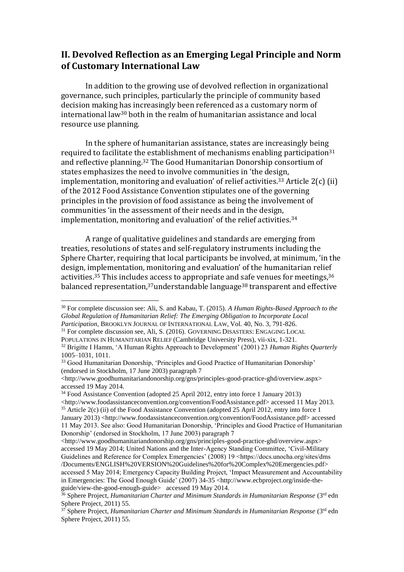## **II. Devolved Reflection as an Emerging Legal Principle and Norm of Customary International Law**

In addition to the growing use of devolved reflection in organizational governance, such principles, particularly the principle of community based decision making has increasingly been referenced as a customary norm of international law<sup>30</sup> both in the realm of humanitarian assistance and local resource use planning.

In the sphere of humanitarian assistance, states are increasingly being required to facilitate the establishment of mechanisms enabling participation<sup>31</sup> and reflective planning. <sup>32</sup> The Good Humanitarian Donorship consortium of states emphasizes the need to involve communities in 'the design, implementation, monitoring and evaluation' of relief activities.<sup>33</sup> Article  $2(c)$  (ii) of the 2012 Food Assistance Convention stipulates one of the governing principles in the provision of food assistance as being the involvement of communities 'in the assessment of their needs and in the design, implementation, monitoring and evaluation' of the relief activities.<sup>34</sup>

A range of qualitative guidelines and standards are emerging from treaties, resolutions of states and self-regulatory instruments including the Sphere Charter, requiring that local participants be involved, at minimum, 'in the design, implementation, monitoring and evaluation' of the humanitarian relief activities.<sup>35</sup> This includes access to appropriate and safe venues for meetings,  $36$ balanced representation,<sup>37</sup>understandable language<sup>38</sup> transparent and effective

<sup>30</sup> For complete discussion see: Ali, S. and Kabau, T. (2015). *A Human Rights-Based Approach to the Global Regulation of Humanitarian Relief: The Emerging Obligation to Incorporate Local Participation*, BROOKLYN JOURNAL OF INTERNATIONAL LAW, Vol. 40, No. 3, 791-826.

<sup>31</sup> For complete discussion see, Ali, S. (2016). GOVERNING DISASTERS: ENGAGING LOCAL POPULATIONS IN HUMANITARIAN RELIEF (Cambridge University Press), vii-xix, 1-321.

<sup>32</sup> Brigitte I Hamm, 'A Human Rights Approach to Development' (2001) 23 *Human Rights Quarterly* 1005–1031, 1011.

<sup>&</sup>lt;sup>33</sup> Good Humanitarian Donorship, 'Principles and Good Practice of Humanitarian Donorship' (endorsed in Stockholm, 17 June 2003) paragraph 7

<sup>&</sup>lt;http://www.goodhumanitariandonorship.org/gns/principles-good-practice-ghd/overview.aspx> accessed 19 May 2014.

<sup>34</sup> Food Assistance Convention (adopted 25 April 2012, entry into force 1 January 2013) <http://www.foodassistanceconvention.org/convention/FoodAssistance.pdf> accessed 11 May 2013. <sup>35</sup> Article 2(c) (ii) of the Food Assistance Convention (adopted 25 April 2012, entry into force 1

January 2013) <http://www.foodassistanceconvention.org/convention/FoodAssistance.pdf> accessed 11 May 2013. See also: Good Humanitarian Donorship, 'Principles and Good Practice of Humanitarian Donorship' (endorsed in Stockholm, 17 June 2003) paragraph 7

<sup>&</sup>lt;http://www.goodhumanitariandonorship.org/gns/principles-good-practice-ghd/overview.aspx> accessed 19 May 2014; United Nations and the Inter-Agency Standing Committee, 'Civil-Military Guidelines and Reference for Complex Emergencies' (2008) 19 <https://docs.unocha.org/sites/dms /Documents/ENGLISH%20VERSION%20Guidelines%20for%20Complex%20Emergencies.pdf> accessed 5 May 2014; Emergency Capacity Building Project, 'Impact Measurement and Accountability in Emergencies: The Good Enough Guide' (2007) 34-35 <http://www.ecbproject.org/inside-theguide/view-the-good-enough-guide> accessed 19 May 2014.

<sup>&</sup>lt;sup>36</sup> Sphere Project, *Humanitarian Charter and Minimum Standards in Humanitarian Response* (3<sup>rd</sup> edn Sphere Project, 2011) 55.

<sup>&</sup>lt;sup>37</sup> Sphere Project, *Humanitarian Charter and Minimum Standards in Humanitarian Response* (3<sup>rd</sup> edn Sphere Project, 2011) 55.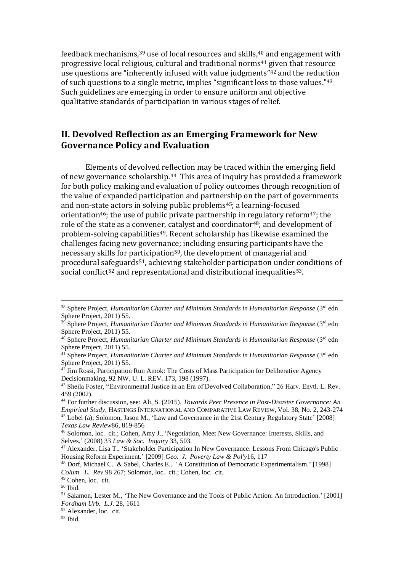feedback mechanisms,  $39$  use of local resources and skills,  $40$  and engagement with progressive local religious, cultural and traditional norms<sup>41</sup> given that resource use questions are "inherently infused with value judgments"<sup>42</sup> and the reduction of such questions to a single metric, implies "significant loss to those values."<sup>43</sup> Such guidelines are emerging in order to ensure uniform and objective qualitative standards of participation in various stages of relief.

## **II. Devolved Reflection as an Emerging Framework for New Governance Policy and Evaluation**

Elements of devolved reflection may be traced within the emerging field of new governance scholarship.44 This area of inquiry has provided a framework for both policy making and evaluation of policy outcomes through recognition of the value of expanded participation and partnership on the part of governments and non-state actors in solving public problems<sup>45</sup>; a learning-focused orientation<sup>46</sup>; the use of public private partnership in regulatory reform<sup>47</sup>; the role of the state as a convener, catalyst and coordinator<sup>48</sup>; and development of problem-solving capabilities<sup>49</sup>. Recent scholarship has likewise examined the challenges facing new governance; including ensuring participants have the necessary skills for participation<sup>50</sup>, the development of managerial and procedural safeguards51, achieving stakeholder participation under conditions of social conflict<sup>52</sup> and representational and distributional inequalities<sup>53</sup>.

<sup>&</sup>lt;sup>38</sup> Sphere Project, *Humanitarian Charter and Minimum Standards in Humanitarian Response* (3<sup>rd</sup> edn Sphere Project, 2011) 55.

<sup>&</sup>lt;sup>39</sup> Sphere Project, *Humanitarian Charter and Minimum Standards in Humanitarian Response* (3<sup>rd</sup> edn Sphere Project, 2011) 55.

<sup>40</sup> Sphere Project, *Humanitarian Charter and Minimum Standards in Humanitarian Response* (3rd edn Sphere Project, 2011) 55.

<sup>41</sup> Sphere Project, *Humanitarian Charter and Minimum Standards in Humanitarian Response* (3rd edn Sphere Project, 2011) 55.

 $42$  Jim Rossi, Participation Run Amok: The Costs of Mass Participation for Deliberative Agency Decisionmaking, 92 NW. U. L. REV. 173, 198 (1997).

<sup>43</sup> Sheila Foster, "Environmental Justice in an Era of Devolved Collaboration," 26 Harv. Envtl. L. Rev. 459 (2002).

<sup>44</sup> For further discussion, see: Ali, S. (2015). *Towards Peer Presence in Post-Disaster Governance: An Empirical Study*, HASTINGS INTERNATIONAL AND COMPARATIVE LAW REVIEW, Vol. 38, No. 2, 243-274 <sup>45</sup> Lobel (a); Solomon, Jason M., 'Law and Governance in the 21st Century Regulatory State' [2008] *Texas Law Review*86, 819-856

<sup>46</sup> Solomon, loc. cit.; Cohen, Amy J., 'Negotiation, Meet New Governance: Interests, Skills, and Selves.' (2008) 33 *Law & Soc. Inquiry* 33, 503.

<sup>47</sup> Alexander, Lisa T., 'Stakeholder Participation In New Governance: Lessons From Chicago's Public Housing Reform Experiment.' [2009] *Geo. J. Poverty Law & Pol'y*16, 117

<sup>48</sup> Dorf, Michael C. & Sabel, Charles E.. 'A Constitution of Democratic Experimentalism.' [1998] *Colum. L. Rev.*98 267; Solomon, loc. cit.; Cohen, loc. cit.

<sup>49</sup> Cohen, loc. cit.

<sup>50</sup> Ibid.

<sup>51</sup> Salamon, Lester M., 'The New Governance and the Tools of Public Action: An Introduction.' [2001] *Fordham Urb. L.J.* 28, 1611

<sup>52</sup> Alexander, loc. cit.

 $53$  Ibid.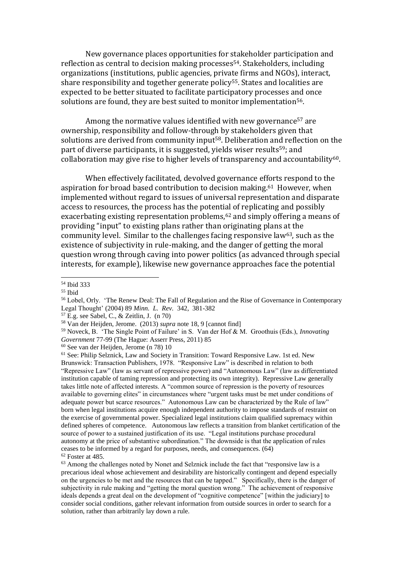New governance places opportunities for stakeholder participation and reflection as central to decision making processes<sup>54</sup>. Stakeholders, including organizations (institutions, public agencies, private firms and NGOs), interact, share responsibility and together generate policy<sup>55</sup>. States and localities are expected to be better situated to facilitate participatory processes and once solutions are found, they are best suited to monitor implementation<sup>56</sup>.

Among the normative values identified with new governance<sup>57</sup> are ownership, responsibility and follow-through by stakeholders given that solutions are derived from community input58. Deliberation and reflection on the part of diverse participants, it is suggested, yields wiser results<sup>59</sup>; and collaboration may give rise to higher levels of transparency and accountability<sup>60</sup>.

When effectively facilitated, devolved governance efforts respond to the aspiration for broad based contribution to decision making.61 However, when implemented without regard to issues of universal representation and disparate access to resources, the process has the potential of replicating and possibly exacerbating existing representation problems,<sup>62</sup> and simply offering a means of providing "input" to existing plans rather than originating plans at the community level. Similar to the challenges facing responsive law<sup>63</sup>, such as the existence of subjectivity in rule-making, and the danger of getting the moral question wrong through caving into power politics (as advanced through special interests, for example), likewise new governance approaches face the potential

 $\overline{a}$ 

 $57$  E.g. see Sabel, C., & Zeitlin, J. (n 70)

<sup>54</sup> Ibid 333

<sup>55</sup> Ibid

<sup>&</sup>lt;sup>56</sup> Lobel, Orly. 'The Renew Deal: The Fall of Regulation and the Rise of Governance in Contemporary Legal Thought' (2004) 89 *Minn. L. Rev.* 342, 381-382

<sup>58</sup> Van der Heijden, Jerome. (2013) *supra* note 18, 9 [cannot find]

<sup>59</sup> Noveck, B. 'The Single Point of Failure' in S. Van der Hof & M. Groothuis (Eds.), *Innovating Government* 77-99 (The Hague: Asserr Press, 2011) 85

<sup>60</sup> See van der Heijden, Jerome (n 78) 10

<sup>&</sup>lt;sup>61</sup> See: Philip Selznick, Law and Society in Transition: Toward Responsive Law. 1st ed. New Brunswick: Transaction Publishers, 1978. "Responsive Law" is described in relation to both "Repressive Law" (law as servant of repressive power) and "Autonomous Law" (law as differentiated institution capable of taming repression and protecting its own integrity). Repressive Law generally takes little note of affected interests. A "common source of repression is the poverty of resources available to governing elites" in circumstances where "urgent tasks must be met under conditions of adequate power but scarce resources." Autonomous Law can be characterized by the Rule of law" born when legal institutions acquire enough independent authority to impose standards of restraint on the exercise of governmental power. Specialized legal institutions claim qualified supremacy within defined spheres of competence. Autonomous law reflects a transition from blanket certification of the source of power to a sustained justification of its use. "Legal institutions purchase procedural autonomy at the price of substantive subordination." The downside is that the application of rules ceases to be informed by a regard for purposes, needs, and consequences. (64) <sup>62</sup> Foster at 485.

 $63$  Among the challenges noted by Nonet and Selznick include the fact that "responsive law is a precarious ideal whose achievement and desirability are historically contingent and depend especially on the urgencies to be met and the resources that can be tapped." Specifically, there is the danger of subjectivity in rule making and "getting the moral question wrong." The achievement of responsive ideals depends a great deal on the development of "cognitive competence" [within the judiciary] to consider social conditions, gather relevant information from outside sources in order to search for a solution, rather than arbitrarily lay down a rule.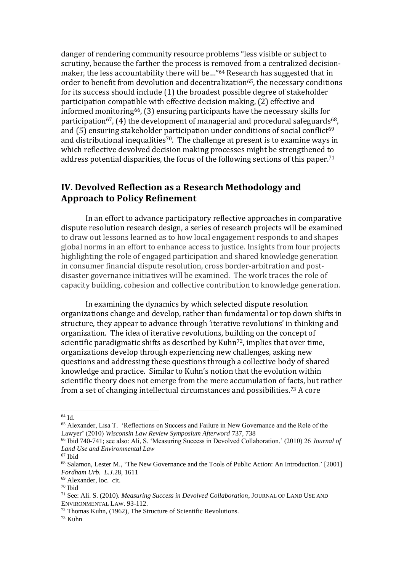danger of rendering community resource problems "less visible or subject to scrutiny, because the farther the process is removed from a centralized decisionmaker, the less accountability there will be…"<sup>64</sup> Research has suggested that in order to benefit from devolution and decentralization<sup>65</sup>, the necessary conditions for its success should include (1) the broadest possible degree of stakeholder participation compatible with effective decision making, (2) effective and informed monitoring66, (3) ensuring participants have the necessary skills for participation<sup>67</sup>, (4) the development of managerial and procedural safeguards<sup>68</sup>, and  $(5)$  ensuring stakeholder participation under conditions of social conflict<sup>69</sup> and distributional inequalities<sup>70</sup>. The challenge at present is to examine ways in which reflective devolved decision making processes might be strengthened to address potential disparities, the focus of the following sections of this paper. 71

## **IV. Devolved Reflection as a Research Methodology and Approach to Policy Refinement**

In an effort to advance participatory reflective approaches in comparative dispute resolution research design, a series of research projects will be examined to draw out lessons learned as to how local engagement responds to and shapes global norms in an effort to enhance access to justice. Insights from four projects highlighting the role of engaged participation and shared knowledge generation in consumer financial dispute resolution, cross border-arbitration and postdisaster governance initiatives will be examined. The work traces the role of capacity building, cohesion and collective contribution to knowledge generation.

In examining the dynamics by which selected dispute resolution organizations change and develop, rather than fundamental or top down shifts in structure, they appear to advance through 'iterative revolutions' in thinking and organization. The idea of iterative revolutions, building on the concept of scientific paradigmatic shifts as described by Kuhn<sup>72</sup>, implies that over time, organizations develop through experiencing new challenges, asking new questions and addressing these questions through a collective body of shared knowledge and practice. Similar to Kuhn's notion that the evolution within scientific theory does not emerge from the mere accumulation of facts, but rather from a set of changing intellectual circumstances and possibilities.<sup>73</sup> A core

 $64$  Id.

<sup>65</sup> Alexander, Lisa T. 'Reflections on Success and Failure in New Governance and the Role of the Lawyer' (2010) *Wisconsin Law Review Symposium Afterword* 737, 738

<sup>66</sup> Ibid 740-741; see also: Ali, S. 'Measuring Success in Devolved Collaboration.' (2010) 26 *Journal of Land Use and Environmental Law*

<sup>67</sup> Ibid

<sup>&</sup>lt;sup>68</sup> Salamon, Lester M., 'The New Governance and the Tools of Public Action: An Introduction.' [2001] *Fordham Urb. L.J.*28, 1611

<sup>69</sup> Alexander, loc. cit.

<sup>70</sup> Ibid

<sup>71</sup> See: Ali. S. (2010). *Measuring Success in Devolved Collaboration*, JOURNAL OF LAND USE AND ENVIRONMENTAL LAW. 93-112.

<sup>72</sup> Thomas Kuhn, (1962), The Structure of Scientific Revolutions.

 $73$  Kuhn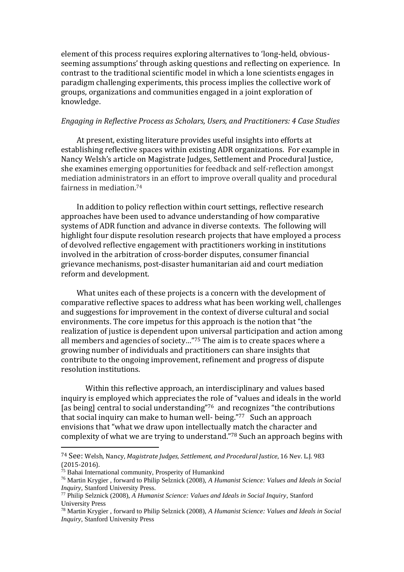element of this process requires exploring alternatives to 'long-held, obviousseeming assumptions' through asking questions and reflecting on experience. In contrast to the traditional scientific model in which a lone scientists engages in paradigm challenging experiments, this process implies the collective work of groups, organizations and communities engaged in a joint exploration of knowledge.

#### *Engaging in Reflective Process as Scholars, Users, and Practitioners: 4 Case Studies*

At present, existing literature provides useful insights into efforts at establishing reflective spaces within existing ADR organizations. For example in Nancy Welsh's article on Magistrate Judges, Settlement and Procedural Justice, she examines emerging opportunities for feedback and self-reflection amongst mediation administrators in an effort to improve overall quality and procedural fairness in mediation.<sup>74</sup>

In addition to policy reflection within court settings, reflective research approaches have been used to advance understanding of how comparative systems of ADR function and advance in diverse contexts. The following will highlight four dispute resolution research projects that have employed a process of devolved reflective engagement with practitioners working in institutions involved in the arbitration of cross-border disputes, consumer financial grievance mechanisms, post-disaster humanitarian aid and court mediation reform and development.

What unites each of these projects is a concern with the development of comparative reflective spaces to address what has been working well, challenges and suggestions for improvement in the context of diverse cultural and social environments. The core impetus for this approach is the notion that "the realization of justice is dependent upon universal participation and action among all members and agencies of society…"<sup>75</sup> The aim is to create spaces where a growing number of individuals and practitioners can share insights that contribute to the ongoing improvement, refinement and progress of dispute resolution institutions.

Within this reflective approach, an interdisciplinary and values based inquiry is employed which appreciates the role of "values and ideals in the world [as being] central to social understanding"76 and recognizes "the contributions that social inquiry can make to human well- being."77 Such an approach envisions that "what we draw upon intellectually match the character and complexity of what we are trying to understand."<sup>78</sup> Such an approach begins with

<sup>74</sup> See: Welsh, Nancy, *Magistrate Judges, Settlement, and Procedural Justice*, 16 Nev. L.J. 983  $(2015-2016).$ <sup>75</sup> Babai Interna

Bahai International community, Prosperity of Humankind

<sup>76</sup> Martin Krygier , forward to Philip Selznick (2008), *A Humanist Science: Values and Ideals in Social Inquiry*, Stanford University Press.

<sup>77</sup> Philip Selznick (2008), *A Humanist Science: Values and Ideals in Social Inquiry*, Stanford University Press

<sup>78</sup> Martin Krygier , forward to Philip Selznick (2008), *A Humanist Science: Values and Ideals in Social Inquiry*, Stanford University Press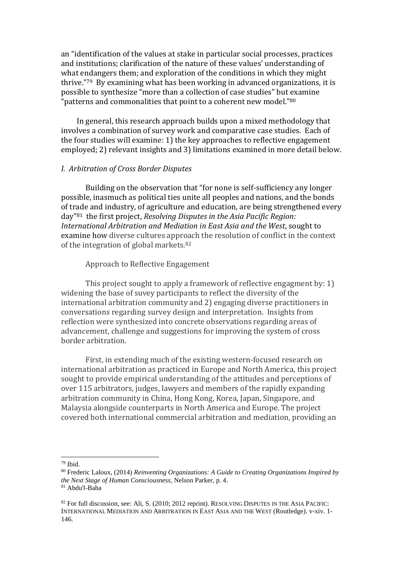an "identification of the values at stake in particular social processes, practices and institutions; clarification of the nature of these values' understanding of what endangers them; and exploration of the conditions in which they might thrive."79 By examining what has been working in advanced organizations, it is possible to synthesize "more than a collection of case studies" but examine "patterns and commonalities that point to a coherent new model."80

In general, this research approach builds upon a mixed methodology that involves a combination of survey work and comparative case studies. Each of the four studies will examine: 1) the key approaches to reflective engagement employed; 2) relevant insights and 3) limitations examined in more detail below.

## *I. Arbitration of Cross Border Disputes*

Building on the observation that "for none is self-sufficiency any longer possible, inasmuch as political ties unite all peoples and nations, and the bonds of trade and industry, of agriculture and education, are being strengthened every day"<sup>81</sup> the first project, *Resolving Disputes in the Asia Pacific Region: International Arbitration and Mediation in East Asia and the West*, sought to examine how diverse cultures approach the resolution of conflict in the context of the integration of global markets.<sup>82</sup>

### Approach to Reflective Engagement

This project sought to apply a framework of reflective engagment by: 1) widening the base of suvey participants to reflect the diversity of the international arbitration community and 2) engaging diverse practitioners in conversations regarding survey design and interpretation. Insights from reflection were synthesized into concrete observations regarding areas of advancement, challenge and suggestions for improving the system of cross border arbitration.

First, in extending much of the existing western-focused research on international arbitration as practiced in Europe and North America, this project sought to provide empirical understanding of the attitudes and perceptions of over 115 arbitrators, judges, lawyers and members of the rapidly expanding arbitration community in China, Hong Kong, Korea, Japan, Singapore, and Malaysia alongside counterparts in North America and Europe. The project covered both international commercial arbitration and mediation, providing an

<sup>79</sup> Ibid.

<sup>80</sup> Frederic Laloux, (2014) *Reinventing Organizations: A Guide to Creating Organizations Inspired by the Next Stage of Human Consciousness*, Nelson Parker, p. 4. <sup>81</sup> Abdu'l-Baha

<sup>&</sup>lt;sup>82</sup> For full discussion, see: Ali, S. (2010; 2012 reprint). RESOLVING DISPUTES IN THE ASIA PACIFIC: INTERNATIONAL MEDIATION AND ARBITRATION IN EAST ASIA AND THE WEST (Routledge). v-xiv. 1- 146.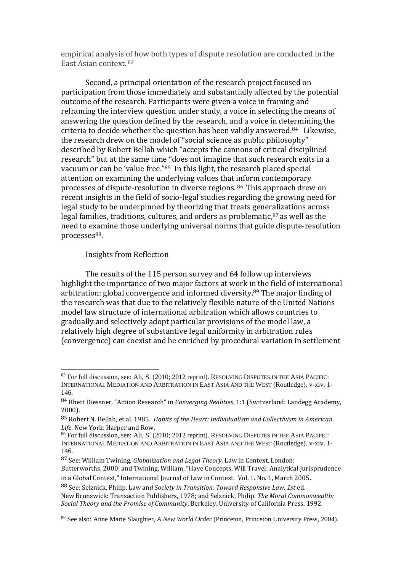empirical analysis of how both types of dispute resolution are conducted in the East Asian context. 83

Second, a principal orientation of the research project focused on participation from those immediately and substantially affected by the potential outcome of the research. Participants were given a voice in framing and reframing the interview question under study, a voice in selecting the means of answering the question defined by the research, and a voice in determining the criteria to decide whether the question has been validly answered.84 Likewise, the research drew on the model of "social science as public philosophy" described by Robert Bellah which "accepts the cannons of critical disciplined research" but at the same time "does not imagine that such research exits in a vacuum or can be 'value free."85 In this light, the research placed special attention on examining the underlying values that inform contemporary processes of dispute-resolution in diverse regions. <sup>86</sup> This approach drew on recent insights in the field of socio-legal studies regarding the growing need for legal study to be underpinned by theorizing that treats generalizations across legal families, traditions, cultures, and orders as problematic, $87$  as well as the need to examine those underlying universal norms that guide dispute-resolution processes<sup>88</sup>.

Insights from Reflection

 $\overline{a}$ 

The results of the 115 person survey and 64 follow up interviews highlight the importance of two major factors at work in the field of international arbitration: global convergence and informed diversity.<sup>89</sup> The major finding of the research was that due to the relatively flexible nature of the United Nations model law structure of international arbitration which allows countries to gradually and selectively adopt particular provisions of the model law, a relatively high degree of substantive legal uniformity in arbitration rules (convergence) can coexist and be enriched by procedural variation in settlement

Butterworths, 2000; and Twining, William, "Have Concepts, Will Travel: Analytical Jurisprudence in a Global Context," International Journal of Law in Context. Vol. 1. No. 1, March 2005.

<sup>83</sup> For full discussion, see: Ali, S. (2010; 2012 reprint). RESOLVING DISPUTES IN THE ASIA PACIFIC: INTERNATIONAL MEDIATION AND ARBITRATION IN EAST ASIA AND THE WEST (Routledge). v-xiv. 1- 146.

<sup>84</sup> Rhett Diessner, "Action Research" in *Converging Realities*, 1:1 (Switzerland: Landegg Academy, 2000).

<sup>85</sup> Robert N. Bellah, et al. 1985. *Habits of the Heart: Individualism and Collectivism in American Life*. New York: Harper and Row.

<sup>86</sup> For full discussion, see: Ali, S. (2010; 2012 reprint). RESOLVING DISPUTES IN THE ASIA PACIFIC: INTERNATIONAL MEDIATION AND ARBITRATION IN EAST ASIA AND THE WEST (Routledge). v-xiv. 1- 146.

<sup>87</sup> See: William Twining, *Globalization and Legal Theory*, Law in Context, London:

<sup>88</sup> See: Selznick, Philip. Law an*d Society in Transition: Toward Responsive Law. 1st* ed. New Brunswick: Transaction Publishers, 1978; and Selznick, Philip. *The Moral Commonwealth: Social Theory and the Promise of Community*, Berkeley, University of California Press, 1992.

<sup>89</sup> See also: Anne Marie Slaughter, *A New World Order* (Princeton, Princeton University Press, 2004).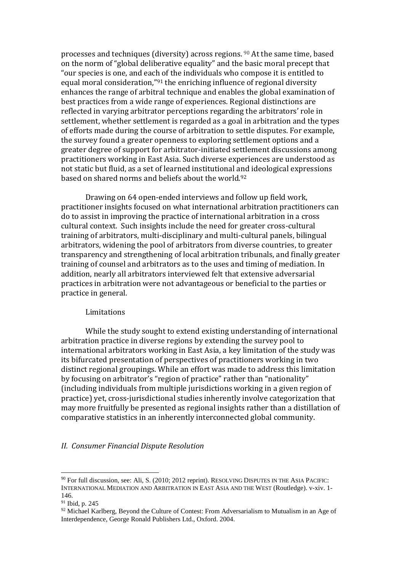processes and techniques (diversity) across regions. <sup>90</sup> At the same time, based on the norm of "global deliberative equality" and the basic moral precept that "our species is one, and each of the individuals who compose it is entitled to equal moral consideration,"<sup>91</sup> the enriching influence of regional diversity enhances the range of arbitral technique and enables the global examination of best practices from a wide range of experiences. Regional distinctions are reflected in varying arbitrator perceptions regarding the arbitrators' role in settlement, whether settlement is regarded as a goal in arbitration and the types of efforts made during the course of arbitration to settle disputes. For example, the survey found a greater openness to exploring settlement options and a greater degree of support for arbitrator-initiated settlement discussions among practitioners working in East Asia. Such diverse experiences are understood as not static but fluid, as a set of learned institutional and ideological expressions based on shared norms and beliefs about the world.<sup>92</sup>

Drawing on 64 open-ended interviews and follow up field work, practitioner insights focused on what international arbitration practitioners can do to assist in improving the practice of international arbitration in a cross cultural context. Such insights include the need for greater cross-cultural training of arbitrators, multi-disciplinary and multi-cultural panels, bilingual arbitrators, widening the pool of arbitrators from diverse countries, to greater transparency and strengthening of local arbitration tribunals, and finally greater training of counsel and arbitrators as to the uses and timing of mediation. In addition, nearly all arbitrators interviewed felt that extensive adversarial practices in arbitration were not advantageous or beneficial to the parties or practice in general.

## Limitations

While the study sought to extend existing understanding of international arbitration practice in diverse regions by extending the survey pool to international arbitrators working in East Asia, a key limitation of the study was its bifurcated presentation of perspectives of practitioners working in two distinct regional groupings. While an effort was made to address this limitation by focusing on arbitrator's "region of practice" rather than "nationality" (including individuals from multiple jurisdictions working in a given region of practice) yet, cross-jurisdictional studies inherently involve categorization that may more fruitfully be presented as regional insights rather than a distillation of comparative statistics in an inherently interconnected global community.

#### *II. Consumer Financial Dispute Resolution*

<sup>&</sup>lt;sup>90</sup> For full discussion, see: Ali, S. (2010; 2012 reprint). RESOLVING DISPUTES IN THE ASIA PACIFIC: INTERNATIONAL MEDIATION AND ARBITRATION IN EAST ASIA AND THE WEST (Routledge). v-xiv. 1- 146.

<sup>91</sup> Ibid, p. 245

<sup>&</sup>lt;sup>92</sup> Michael Karlberg, Beyond the Culture of Contest: From Adversarialism to Mutualism in an Age of Interdependence, George Ronald Publishers Ltd., Oxford. 2004.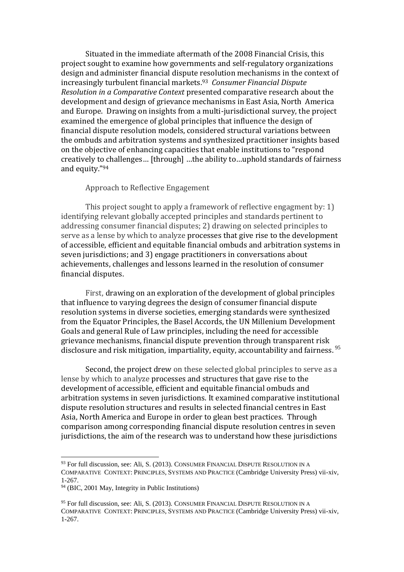Situated in the immediate aftermath of the 2008 Financial Crisis, this project sought to examine how governments and self-regulatory organizations design and administer financial dispute resolution mechanisms in the context of increasingly turbulent financial markets.<sup>93</sup> *Consumer Financial Dispute Resolution in a Comparative Context* presented comparative research about the development and design of grievance mechanisms in East Asia, North America and Europe. Drawing on insights from a multi-jurisdictional survey, the project examined the emergence of global principles that influence the design of financial dispute resolution models, considered structural variations between the ombuds and arbitration systems and synthesized practitioner insights based on the objective of enhancing capacities that enable institutions to "respond creatively to challenges… [through] …the ability to…uphold standards of fairness and equity."<sup>94</sup>

#### Approach to Reflective Engagement

This project sought to apply a framework of reflective engagment by: 1) identifying relevant globally accepted principles and standards pertinent to addressing consumer financial disputes; 2) drawing on selected principles to serve as a lense by which to analyze processes that give rise to the development of accessible, efficient and equitable financial ombuds and arbitration systems in seven jurisdictions; and 3) engage practitioners in conversations about achievements, challenges and lessons learned in the resolution of consumer financial disputes.

First, drawing on an exploration of the development of global principles that influence to varying degrees the design of consumer financial dispute resolution systems in diverse societies, emerging standards were synthesized from the Equator Principles, the Basel Accords, the UN Millenium Development Goals and general Rule of Law principles, including the need for accessible grievance mechanisms, financial dispute prevention through transparent risk disclosure and risk mitigation, impartiality, equity, accountability and fairness. 95

Second, the project drew on these selected global principles to serve as a lense by which to analyze processes and structures that gave rise to the development of accessible, efficient and equitable financial ombuds and arbitration systems in seven jurisdictions. It examined comparative institutional dispute resolution structures and results in selected financial centres in East Asia, North America and Europe in order to glean best practices. Through comparison among corresponding financial dispute resolution centres in seven jurisdictions, the aim of the research was to understand how these jurisdictions

<sup>93</sup> For full discussion, see: Ali, S. (2013). CONSUMER FINANCIAL DISPUTE RESOLUTION IN A COMPARATIVE CONTEXT: PRINCIPLES, SYSTEMS AND PRACTICE (Cambridge University Press) vii-xiv, 1-267.

<sup>94</sup> (BIC, 2001 May, Integrity in Public Institutions)

<sup>&</sup>lt;sup>95</sup> For full discussion, see: Ali, S. (2013). CONSUMER FINANCIAL DISPUTE RESOLUTION IN A COMPARATIVE CONTEXT: PRINCIPLES, SYSTEMS AND PRACTICE (Cambridge University Press) vii-xiv, 1-267.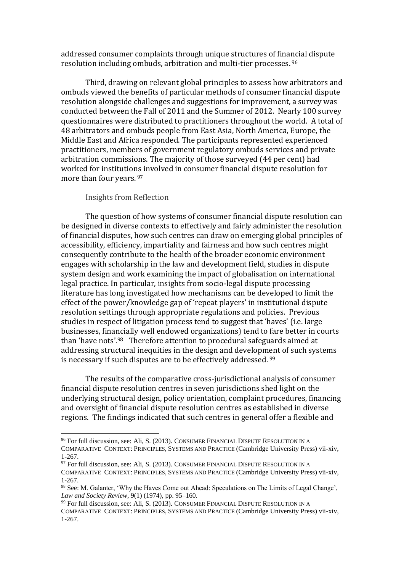addressed consumer complaints through unique structures of financial dispute resolution including ombuds, arbitration and multi-tier processes. <sup>96</sup>

Third, drawing on relevant global principles to assess how arbitrators and ombuds viewed the benefits of particular methods of consumer financial dispute resolution alongside challenges and suggestions for improvement, a survey was conducted between the Fall of 2011 and the Summer of 2012. Nearly 100 survey questionnaires were distributed to practitioners throughout the world. A total of 48 arbitrators and ombuds people from East Asia, North America, Europe, the Middle East and Africa responded. The participants represented experienced practitioners, members of government regulatory ombuds services and private arbitration commissions. The majority of those surveyed (44 per cent) had worked for institutions involved in consumer financial dispute resolution for more than four years. <sup>97</sup>

Insights from Reflection

 $\overline{a}$ 

The question of how systems of consumer financial dispute resolution can be designed in diverse contexts to effectively and fairly administer the resolution of financial disputes, how such centres can draw on emerging global principles of accessibility, efficiency, impartiality and fairness and how such centres might consequently contribute to the health of the broader economic environment engages with scholarship in the law and development field, studies in dispute system design and work examining the impact of globalisation on international legal practice. In particular, insights from socio-legal dispute processing literature has long investigated how mechanisms can be developed to limit the effect of the power/knowledge gap of 'repeat players' in institutional dispute resolution settings through appropriate regulations and policies. Previous studies in respect of litigation process tend to suggest that 'haves' (i.e. large businesses, financially well endowed organizations) tend to fare better in courts than 'have nots'.98 Therefore attention to procedural safeguards aimed at addressing structural inequities in the design and development of such systems is necessary if such disputes are to be effectively addressed. <sup>99</sup>

The results of the comparative cross-jurisdictional analysis of consumer financial dispute resolution centres in seven jurisdictions shed light on the underlying structural design, policy orientation, complaint procedures, financing and oversight of financial dispute resolution centres as established in diverse regions. The findings indicated that such centres in general offer a flexible and

<sup>96</sup> For full discussion, see: Ali, S. (2013). CONSUMER FINANCIAL DISPUTE RESOLUTION IN A COMPARATIVE CONTEXT: PRINCIPLES, SYSTEMS AND PRACTICE (Cambridge University Press) vii-xiv, 1-267.

 $97$  For full discussion, see: Ali, S. (2013). CONSUMER FINANCIAL DISPUTE RESOLUTION IN A COMPARATIVE CONTEXT: PRINCIPLES, SYSTEMS AND PRACTICE (Cambridge University Press) vii-xiv, 1-267.

<sup>98</sup> See: M. Galanter, 'Why the Haves Come out Ahead: Speculations on The Limits of Legal Change', *Law and Society Review*, 9(1) (1974), pp. 95–160.

<sup>&</sup>lt;sup>99</sup> For full discussion, see: Ali, S. (2013). CONSUMER FINANCIAL DISPUTE RESOLUTION IN A COMPARATIVE CONTEXT: PRINCIPLES, SYSTEMS AND PRACTICE (Cambridge University Press) vii-xiv, 1-267.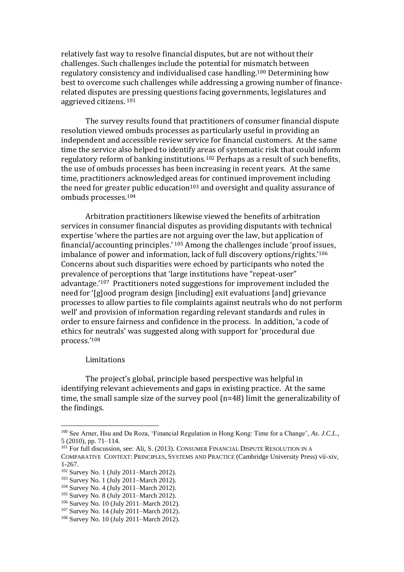relatively fast way to resolve financial disputes, but are not without their challenges. Such challenges include the potential for mismatch between regulatory consistency and individualised case handling.<sup>100</sup> Determining how best to overcome such challenges while addressing a growing number of financerelated disputes are pressing questions facing governments, legislatures and aggrieved citizens. <sup>101</sup>

The survey results found that practitioners of consumer financial dispute resolution viewed ombuds processes as particularly useful in providing an independent and accessible review service for financial customers. At the same time the service also helped to identify areas of systematic risk that could inform regulatory reform of banking institutions. <sup>102</sup> Perhaps as a result of such benefits, the use of ombuds processes has been increasing in recent years. At the same time, practitioners acknowledged areas for continued improvement including the need for greater public education<sup>103</sup> and oversight and quality assurance of ombuds processes.<sup>104</sup>

Arbitration practitioners likewise viewed the benefits of arbitration services in consumer financial disputes as providing disputants with technical expertise 'where the parties are not arguing over the law, but application of financial/accounting principles.' <sup>105</sup> Among the challenges include 'proof issues, imbalance of power and information, lack of full discovery options/rights.'<sup>106</sup> Concerns about such disparities were echoed by participants who noted the prevalence of perceptions that 'large institutions have "repeat-user" advantage.'107 Practitioners noted suggestions for improvement included the need for '[g]ood program design [including] exit evaluations [and] grievance processes to allow parties to file complaints against neutrals who do not perform well' and provision of information regarding relevant standards and rules in order to ensure fairness and confidence in the process. In addition, 'a code of ethics for neutrals' was suggested along with support for 'procedural due process.'<sup>108</sup>

#### Limitations

 $\overline{a}$ 

The project's global, principle based perspective was helpful in identifying relevant achievements and gaps in existing practice. At the same time, the small sample size of the survey pool (n=48) limit the generalizability of the findings.

<sup>100</sup> See Arner, Hsu and Da Roza, 'Financial Regulation in Hong Kong: Time for a Change', *As. J.C.L*., 5 (2010), pp. 71–114.

<sup>&</sup>lt;sup>101</sup> For full discussion, see: Ali, S. (2013). CONSUMER FINANCIAL DISPUTE RESOLUTION IN A COMPARATIVE CONTEXT: PRINCIPLES, SYSTEMS AND PRACTICE (Cambridge University Press) vii-xiv, 1-267.

<sup>102</sup> Survey No. 1 (July 2011–March 2012).

<sup>103</sup> Survey No. 1 (July 2011–March 2012).

<sup>104</sup> Survey No. 4 (July 2011–March 2012).

<sup>105</sup> Survey No. 8 (July 2011–March 2012).

<sup>106</sup> Survey No. 10 (July 2011–March 2012).

<sup>107</sup> Survey No. 14 (July 2011–March 2012).

<sup>108</sup> Survey No. 10 (July 2011–March 2012).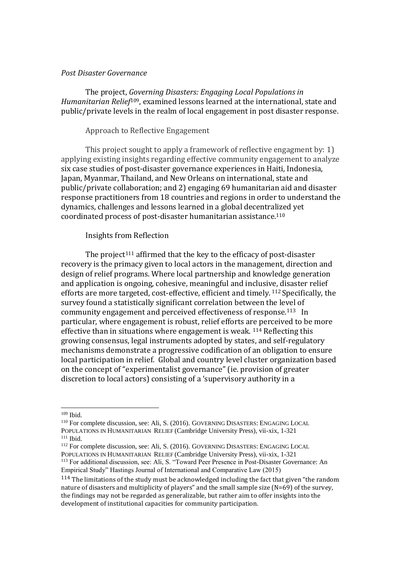#### *Post Disaster Governance*

The project, *Governing Disasters: Engaging Local Populations in Humanitarian Relief*109, examined lessons learned at the international, state and public/private levels in the realm of local engagement in post disaster response.

## Approach to Reflective Engagement

This project sought to apply a framework of reflective engagment by: 1) applying existing insights regarding effective community engagement to analyze six case studies of post-disaster governance experiences in Haiti, Indonesia, Japan, Myanmar, Thailand, and New Orleans on international, state and public/private collaboration; and 2) engaging 69 humanitarian aid and disaster response practitioners from 18 countries and regions in order to understand the dynamics, challenges and lessons learned in a global decentralized yet coordinated process of post-disaster humanitarian assistance. 110

## Insights from Reflection

The project<sup>111</sup> affirmed that the key to the efficacy of post-disaster recovery is the primacy given to local actors in the management, direction and design of relief programs. Where local partnership and knowledge generation and application is ongoing, cohesive, meaningful and inclusive, disaster relief efforts are more targeted, cost-effective, efficient and timely. <sup>112</sup> Specifically, the survey found a statistically significant correlation between the level of community engagement and perceived effectiveness of response.113 In particular, where engagement is robust, relief efforts are perceived to be more effective than in situations where engagement is weak. <sup>114</sup> Reflecting this growing consensus, legal instruments adopted by states, and self-regulatory mechanisms demonstrate a progressive codification of an obligation to ensure local participation in relief. Global and country level cluster organization based on the concept of "experimentalist governance" (ie. provision of greater discretion to local actors) consisting of a 'supervisory authority in a

<sup>109</sup> Ibid.

<sup>110</sup> For complete discussion, see: Ali, S. (2016). GOVERNING DISASTERS: ENGAGING LOCAL POPULATIONS IN HUMANITARIAN RELIEF (Cambridge University Press), vii-xix, 1-321  $111$  Ibid.

<sup>112</sup> For complete discussion, see: Ali, S. (2016). GOVERNING DISASTERS: ENGAGING LOCAL POPULATIONS IN HUMANITARIAN RELIEF (Cambridge University Press), vii-xix, 1-321

<sup>113</sup> For additional discussion, see: Ali, S. "Toward Peer Presence in Post-Disaster Governance: An Empirical Study" Hastings Journal of International and Comparative Law (2015)

<sup>&</sup>lt;sup>114</sup> The limitations of the study must be acknowledged including the fact that given "the random nature of disasters and multiplicity of players" and the small sample size (N=69) of the survey, the findings may not be regarded as generalizable, but rather aim to offer insights into the development of institutional capacities for community participation.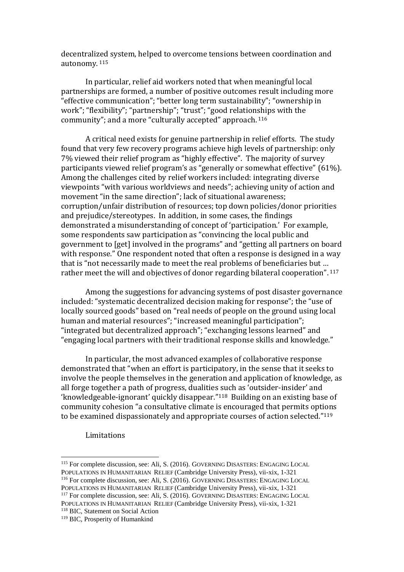decentralized system, helped to overcome tensions between coordination and autonomy. 115

In particular, relief aid workers noted that when meaningful local partnerships are formed, a number of positive outcomes result including more "effective communication"; "better long term sustainability"; "ownership in work"; "flexibility"; "partnership"; "trust"; "good relationships with the community"; and a more "culturally accepted" approach. <sup>116</sup>

A critical need exists for genuine partnership in relief efforts. The study found that very few recovery programs achieve high levels of partnership: only 7% viewed their relief program as "highly effective". The majority of survey participants viewed relief program's as "generally or somewhat effective" (61%). Among the challenges cited by relief workers included: integrating diverse viewpoints "with various worldviews and needs"; achieving unity of action and movement "in the same direction"; lack of situational awareness; corruption/unfair distribution of resources; top down policies/donor priorities and prejudice/stereotypes. In addition, in some cases, the findings demonstrated a misunderstanding of concept of 'participation.' For example, some respondents saw participation as "convincing the local public and government to [get] involved in the programs" and "getting all partners on board with response." One respondent noted that often a response is designed in a way that is "not necessarily made to meet the real problems of beneficiaries but … rather meet the will and objectives of donor regarding bilateral cooperation". <sup>117</sup>

Among the suggestions for advancing systems of post disaster governance included: "systematic decentralized decision making for response"; the "use of locally sourced goods" based on "real needs of people on the ground using local human and material resources"; "increased meaningful participation"; "integrated but decentralized approach"; "exchanging lessons learned" and "engaging local partners with their traditional response skills and knowledge."

In particular, the most advanced examples of collaborative response demonstrated that "when an effort is participatory, in the sense that it seeks to involve the people themselves in the generation and application of knowledge, as all forge together a path of progress, dualities such as 'outsider-insider' and 'knowledgeable-ignorant' quickly disappear."118 Building on an existing base of community cohesion "a consultative climate is encouraged that permits options to be examined dispassionately and appropriate courses of action selected."<sup>119</sup>

Limitations

<sup>115</sup> For complete discussion, see: Ali, S. (2016). GOVERNING DISASTERS: ENGAGING LOCAL POPULATIONS IN HUMANITARIAN RELIEF (Cambridge University Press), vii-xix, 1-321 <sup>116</sup> For complete discussion, see: Ali, S. (2016). GOVERNING DISASTERS: ENGAGING LOCAL POPULATIONS IN HUMANITARIAN RELIEF (Cambridge University Press), vii-xix, 1-321

<sup>117</sup> For complete discussion, see: Ali, S. (2016). GOVERNING DISASTERS: ENGAGING LOCAL POPULATIONS IN HUMANITARIAN RELIEF (Cambridge University Press), vii-xix, 1-321 <sup>118</sup> BIC, Statement on Social Action

<sup>119</sup> BIC, Prosperity of Humankind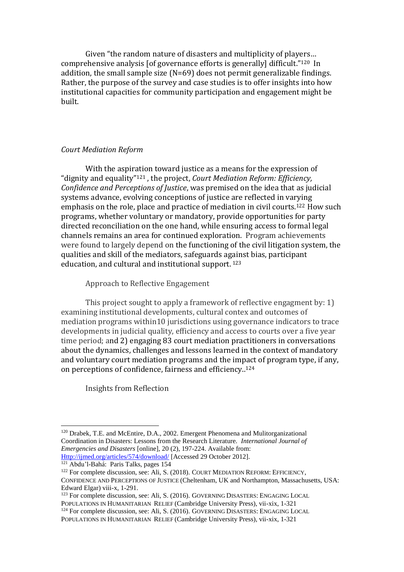Given "the random nature of disasters and multiplicity of players… comprehensive analysis [of governance efforts is generally] difficult." <sup>120</sup> In addition, the small sample size (N=69) does not permit generalizable findings. Rather, the purpose of the survey and case studies is to offer insights into how institutional capacities for community participation and engagement might be built.

## *Court Mediation Reform*

With the aspiration toward justice as a means for the expression of "dignity and equality"<sup>121</sup> , the project, *Court Mediation Reform: Efficiency, Confidence and Perceptions of Justice*, was premised on the idea that as judicial systems advance, evolving conceptions of justice are reflected in varying emphasis on the role, place and practice of mediation in civil courts.<sup>122</sup> How such programs, whether voluntary or mandatory, provide opportunities for party directed reconciliation on the one hand, while ensuring access to formal legal channels remains an area for continued exploration. Program achievements were found to largely depend on the functioning of the civil litigation system, the qualities and skill of the mediators, safeguards against bias, participant education, and cultural and institutional support. <sup>123</sup>

Approach to Reflective Engagement

This project sought to apply a framework of reflective engagment by: 1) examining institutional developments, cultural contex and outcomes of mediation programs within10 jurisdictions using governance indicators to trace developments in judicial quality, efficiency and access to courts over a five year time period; and 2) engaging 83 court mediation practitioners in conversations about the dynamics, challenges and lessons learned in the context of mandatory and voluntary court mediation programs and the impact of program type, if any, on perceptions of confidence, fairness and efficiency.. 124

Insights from Reflection

<sup>120</sup> Drabek, T.E. and McEntire, D.A., 2002. Emergent Phenomena and Mulitorganizational Coordination in Disasters: Lessons from the Research Literature. *International Journal of Emergencies and Disasters* [online], 20 (2), 197-224. Available from: [Http://ijmed.org/articles/574/download/](http://ijmed.org/articles/574/download/) [Accessed 29 October 2012].

<sup>121</sup> Abdu'l-Bahá: Paris Talks, pages 154

<sup>&</sup>lt;sup>122</sup> For complete discussion, see: Ali, S. (2018). COURT MEDIATION REFORM: EFFICIENCY, CONFIDENCE AND PERCEPTIONS OF JUSTICE (Cheltenham, UK and Northampton, Massachusetts, USA: Edward Elgar) viii-x, 1-291.

<sup>&</sup>lt;sup>123</sup> For complete discussion, see: Ali, S. (2016). GOVERNING DISASTERS: ENGAGING LOCAL POPULATIONS IN HUMANITARIAN RELIEF (Cambridge University Press), vii-xix, 1-321 <sup>124</sup> For complete discussion, see: Ali, S. (2016). GOVERNING DISASTERS: ENGAGING LOCAL

POPULATIONS IN HUMANITARIAN RELIEF (Cambridge University Press), vii-xix, 1-321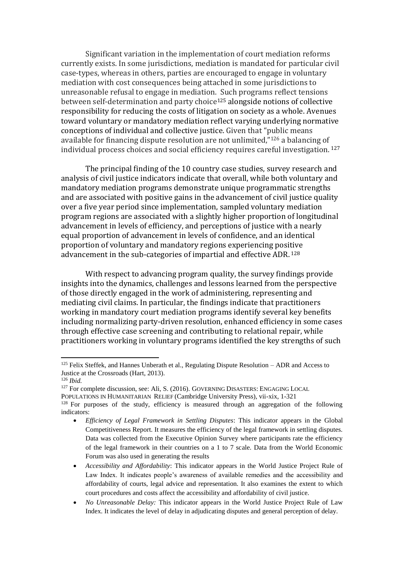Significant variation in the implementation of court mediation reforms currently exists. In some jurisdictions, mediation is mandated for particular civil case-types, whereas in others, parties are encouraged to engage in voluntary mediation with cost consequences being attached in some jurisdictions to unreasonable refusal to engage in mediation. Such programs reflect tensions between self-determination and party choice<sup>125</sup> alongside notions of collective responsibility for reducing the costs of litigation on society as a whole. Avenues toward voluntary or mandatory mediation reflect varying underlying normative conceptions of individual and collective justice. Given that "public means available for financing dispute resolution are not unlimited,"<sup>126</sup> a balancing of individual process choices and social efficiency requires careful investigation. <sup>127</sup>

The principal finding of the 10 country case studies, survey research and analysis of civil justice indicators indicate that overall, while both voluntary and mandatory mediation programs demonstrate unique programmatic strengths and are associated with positive gains in the advancement of civil justice quality over a five year period since implementation, sampled voluntary mediation program regions are associated with a slightly higher proportion of longitudinal advancement in levels of efficiency, and perceptions of justice with a nearly equal proportion of advancement in levels of confidence, and an identical proportion of voluntary and mandatory regions experiencing positive advancement in the sub-categories of impartial and effective ADR. <sup>128</sup>

With respect to advancing program quality, the survey findings provide insights into the dynamics, challenges and lessons learned from the perspective of those directly engaged in the work of administering, representing and mediating civil claims. In particular, the findings indicate that practitioners working in mandatory court mediation programs identify several key benefits including normalizing party-driven resolution, enhanced efficiency in some cases through effective case screening and contributing to relational repair, while practitioners working in voluntary programs identified the key strengths of such

<sup>126</sup> *Ibid.*

 $\overline{\phantom{a}}$ 

<sup>127</sup> For complete discussion, see: Ali, S. (2016). GOVERNING DISASTERS: ENGAGING LOCAL

POPULATIONS IN HUMANITARIAN RELIEF (Cambridge University Press), vii-xix, 1-321

- *Efficiency of Legal Framework in Settling Disputes*: This indicator appears in the Global Competitiveness Report. It measures the efficiency of the legal framework in settling disputes. Data was collected from the Executive Opinion Survey where participants rate the efficiency of the legal framework in their countries on a 1 to 7 scale. Data from the World Economic Forum was also used in generating the results
- *Accessibility and Affordability*: This indicator appears in the World Justice Project Rule of Law Index. It indicates people's awareness of available remedies and the accessibility and affordability of courts, legal advice and representation. It also examines the extent to which court procedures and costs affect the accessibility and affordability of civil justice.
- *No Unreasonable Delay:* This indicator appears in the World Justice Project Rule of Law Index. It indicates the level of delay in adjudicating disputes and general perception of delay.

<sup>&</sup>lt;sup>125</sup> Felix Steffek, and Hannes Unberath et al., Regulating Dispute Resolution – ADR and Access to Justice at the Crossroads (Hart, 2013).

 $128$  For purposes of the study, efficiency is measured through an aggregation of the following indicators: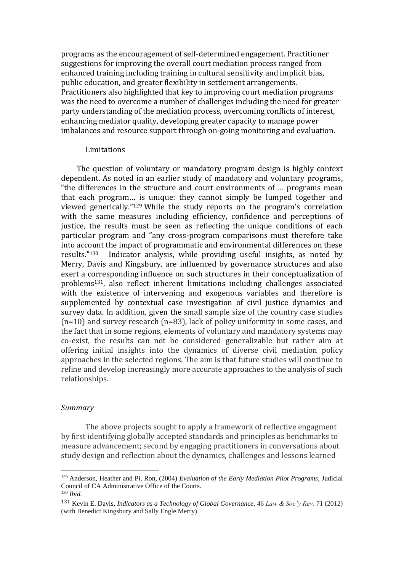programs as the encouragement of self-determined engagement. Practitioner suggestions for improving the overall court mediation process ranged from enhanced training including training in cultural sensitivity and implicit bias, public education, and greater flexibility in settlement arrangements. Practitioners also highlighted that key to improving court mediation programs was the need to overcome a number of challenges including the need for greater party understanding of the mediation process, overcoming conflicts of interest, enhancing mediator quality, developing greater capacity to manage power imbalances and resource support through on-going monitoring and evaluation.

#### Limitations

The question of voluntary or mandatory program design is highly context dependent. As noted in an earlier study of mandatory and voluntary programs, "the differences in the structure and court environments of … programs mean that each program… is unique: they cannot simply be lumped together and viewed generically."<sup>129</sup> While the study reports on the program's correlation with the same measures including efficiency, confidence and perceptions of justice, the results must be seen as reflecting the unique conditions of each particular program and "any cross-program comparisons must therefore take into account the impact of programmatic and environmental differences on these results."130 Indicator analysis, while providing useful insights, as noted by Merry, Davis and Kingsbury, are influenced by governance structures and also exert a corresponding influence on such structures in their conceptualization of problems131, also reflect inherent limitations including challenges associated with the existence of intervening and exogenous variables and therefore is supplemented by contextual case investigation of civil justice dynamics and survey data. In addition, given the small sample size of the country case studies (n=10) and survey research (n=83), lack of policy uniformity in some cases, and the fact that in some regions, elements of voluntary and mandatory systems may co-exist, the results can not be considered generalizable but rather aim at offering initial insights into the dynamics of diverse civil mediation policy approaches in the selected regions. The aim is that future studies will continue to refine and develop increasingly more accurate approaches to the analysis of such relationships.

#### *Summary*

The above projects sought to apply a framework of reflective engagment by first identifying globally accepted standards and principles as benchmarks to measure advancement; second by engaging practitioners in conversations about study design and reflection about the dynamics, challenges and lessons learned

<sup>129</sup> Anderson, Heather and Pi, Ron, (2004) *Evaluation of the Early Mediation Pilot Programs*, Judicial Council of CA Administrative Office of the Courts. <sup>130</sup> *Ibid.*

<sup>131</sup> Kevin E. Davis, *Indicators as a Technology of Global Governance*, 46 *Law & Soc'y Rev.* 71 (2012) (with Benedict Kingsbury and Sally Engle Merry).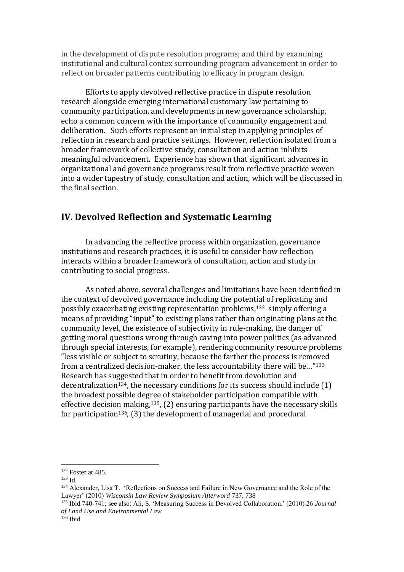in the development of dispute resolution programs; and third by examining institutional and cultural contex surrounding program advancement in order to reflect on broader patterns contributing to efficacy in program design.

Efforts to apply devolved reflective practice in dispute resolution research alongside emerging international customary law pertaining to community participation, and developments in new governance scholarship, echo a common concern with the importance of community engagement and deliberation. Such efforts represent an initial step in applying principles of reflection in research and practice settings. However, reflection isolated from a broader framework of collective study, consultation and action inhibits meaningful advancement. Experience has shown that significant advances in organizational and governance programs result from reflective practice woven into a wider tapestry of study, consultation and action, which will be discussed in the final section.

## **IV. Devolved Reflection and Systematic Learning**

In advancing the reflective process within organization, governance institutions and research practices, it is useful to consider how reflection interacts within a broader framework of consultation, action and study in contributing to social progress.

As noted above, several challenges and limitations have been identified in the context of devolved governance including the potential of replicating and possibly exacerbating existing representation problems,<sup>132</sup> simply offering a means of providing "input" to existing plans rather than originating plans at the community level, the existence of subjectivity in rule-making, the danger of getting moral questions wrong through caving into power politics (as advanced through special interests, for example), rendering community resource problems "less visible or subject to scrutiny, because the farther the process is removed from a centralized decision-maker, the less accountability there will be…" 133 Research has suggested that in order to benefit from devolution and decentralization<sup>134</sup>, the necessary conditions for its success should include  $(1)$ the broadest possible degree of stakeholder participation compatible with effective decision making, $135$ , (2) ensuring participants have the necessary skills for participation<sup>136</sup>,  $(3)$  the development of managerial and procedural

<sup>132</sup> Foster at 485.

<sup>133</sup> Id.

<sup>134</sup> Alexander, Lisa T. 'Reflections on Success and Failure in New Governance and the Role of the Lawyer' (2010) *Wisconsin Law Review Symposium Afterword* 737, 738

<sup>135</sup> Ibid 740-741; see also: Ali, S. 'Measuring Success in Devolved Collaboration.' (2010) 26 *Journal of Land Use and Environmental Law*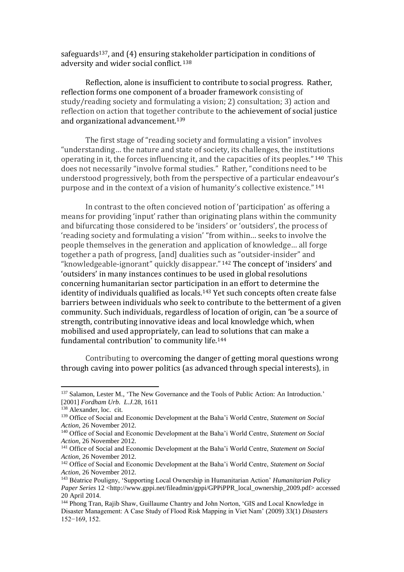safeguards<sup>137</sup>, and (4) ensuring stakeholder participation in conditions of adversity and wider social conflict. 138

Reflection, alone is insufficient to contribute to social progress. Rather, reflection forms one component of a broader framework consisting of study/reading society and formulating a vision; 2) consultation; 3) action and reflection on action that together contribute to the achievement of social justice and organizational advancement. 139

The first stage of "reading society and formulating a vision" involves "understanding… the nature and state of society, its challenges, the institutions operating in it, the forces influencing it, and the capacities of its peoples." <sup>140</sup> This does not necessarily "involve formal studies." Rather, "conditions need to be understood progressively, both from the perspective of a particular endeavour's purpose and in the context of a vision of humanity's collective existence." 141

In contrast to the often concieved notion of 'participation' as offering a means for providing 'input' rather than originating plans within the community and bifurcating those considered to be 'insiders' or 'outsiders', the process of 'reading society and formulating a vision' "from within… seeks to involve the people themselves in the generation and application of knowledge… all forge together a path of progress, [and] dualities such as "outsider-insider" and "knowledgeable-ignorant" quickly disappear." <sup>142</sup> The concept of 'insiders' and 'outsiders' in many instances continues to be used in global resolutions concerning humanitarian sector participation in an effort to determine the identity of individuals qualified as locals.<sup>143</sup> Yet such concepts often create false barriers between individuals who seek to contribute to the betterment of a given community. Such individuals, regardless of location of origin, can 'be a source of strength, contributing innovative ideas and local knowledge which, when mobilised and used appropriately, can lead to solutions that can make a fundamental contribution' to community life.<sup>144</sup>

Contributing to overcoming the danger of getting moral questions wrong through caving into power politics (as advanced through special interests), in

<sup>137</sup> Salamon, Lester M., 'The New Governance and the Tools of Public Action: An Introduction.' [2001] *Fordham Urb. L.J.*28, 1611

<sup>&</sup>lt;sup>138</sup> Alexander, loc. cit.

<sup>139</sup> Office of Social and Economic Development at the Baha'i World Centre, *Statement on Social Action*, 26 November 2012.

<sup>140</sup> Office of Social and Economic Development at the Baha'i World Centre, *Statement on Social Action*, 26 November 2012.

<sup>141</sup> Office of Social and Economic Development at the Baha'i World Centre, *Statement on Social Action*, 26 November 2012.

<sup>142</sup> Office of Social and Economic Development at the Baha'i World Centre, *Statement on Social Action*, 26 November 2012.

<sup>143</sup> Béatrice Pouligny, 'Supporting Local Ownership in Humanitarian Action' *Humanitarian Policy Paper Series* 12 <http://www.gppi.net/fileadmin/gppi/GPPiPPR\_local\_ownership\_2009.pdf> accessed 20 April 2014.

<sup>144</sup> Phong Tran, Rajib Shaw, Guillaume Chantry and John Norton, 'GIS and Local Knowledge in Disaster Management: A Case Study of Flood Risk Mapping in Viet Nam' (2009) 33(1) *Disasters* 152−169, 152.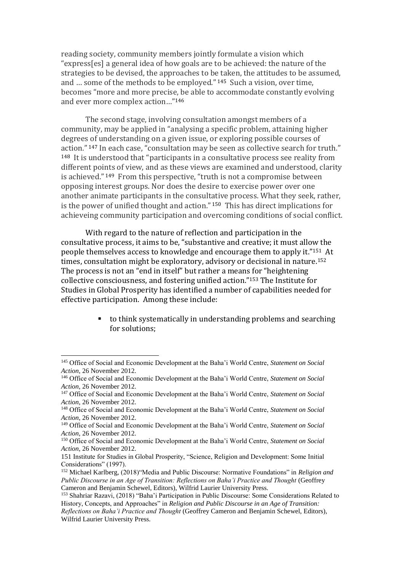reading society, community members jointly formulate a vision which "express[es] a general idea of how goals are to be achieved: the nature of the strategies to be devised, the approaches to be taken, the attitudes to be assumed, and … some of the methods to be employed." <sup>145</sup> Such a vision, over time, becomes "more and more precise, be able to accommodate constantly evolving and ever more complex action…"<sup>146</sup>

The second stage, involving consultation amongst members of a community, may be applied in "analysing a specific problem, attaining higher degrees of understanding on a given issue, or exploring possible courses of action." <sup>147</sup> In each case, "consultation may be seen as collective search for truth." <sup>148</sup> It is understood that "participants in a consultative process see reality from different points of view, and as these views are examined and understood, clarity is achieved." <sup>149</sup> From this perspective, "truth is not a compromise between opposing interest groups. Nor does the desire to exercise power over one another animate participants in the consultative process. What they seek, rather, is the power of unified thought and action." <sup>150</sup> This has direct implications for achieveing community participation and overcoming conditions of social conflict.

With regard to the nature of reflection and participation in the consultative process, it aims to be, "substantive and creative; it must allow the people themselves access to knowledge and encourage them to apply it."151 At times, consultation might be exploratory, advisory or decisional in nature.<sup>152</sup> The process is not an "end in itself" but rather a means for "heightening collective consciousness, and fostering unified action."<sup>153</sup> The Institute for Studies in Global Prosperity has identified a number of capabilities needed for effective participation. Among these include:

> to think systematically in understanding problems and searching for solutions;

<sup>145</sup> Office of Social and Economic Development at the Baha'i World Centre, *Statement on Social Action*, 26 November 2012.

<sup>146</sup> Office of Social and Economic Development at the Baha'i World Centre, *Statement on Social Action*, 26 November 2012.

<sup>147</sup> Office of Social and Economic Development at the Baha'i World Centre, *Statement on Social Action*, 26 November 2012.

<sup>148</sup> Office of Social and Economic Development at the Baha'i World Centre, *Statement on Social Action*, 26 November 2012.

<sup>149</sup> Office of Social and Economic Development at the Baha'i World Centre, *Statement on Social Action*, 26 November 2012.

<sup>150</sup> Office of Social and Economic Development at the Baha'i World Centre, *Statement on Social Action*, 26 November 2012.

<sup>151</sup> Institute for Studies in Global Prosperity, "Science, Religion and Development: Some Initial Considerations" (1997).

<sup>152</sup> Michael Karlberg, (2018)"Media and Public Discourse: Normative Foundations" in *Religion and Public Discourse in an Age of Transition: Reflections on Baha'i Practice and Thought* (Geoffrey Cameron and Benjamin Schewel, Editors), Wilfrid Laurier University Press.

<sup>153</sup> Shahriar Razavi, (2018) "Baha'i Participation in Public Discourse: Some Considerations Related to History, Concepts, and Approaches" in *Religion and Public Discourse in an Age of Transition: Reflections on Baha'i Practice and Thought* (Geoffrey Cameron and Benjamin Schewel, Editors), Wilfrid Laurier University Press.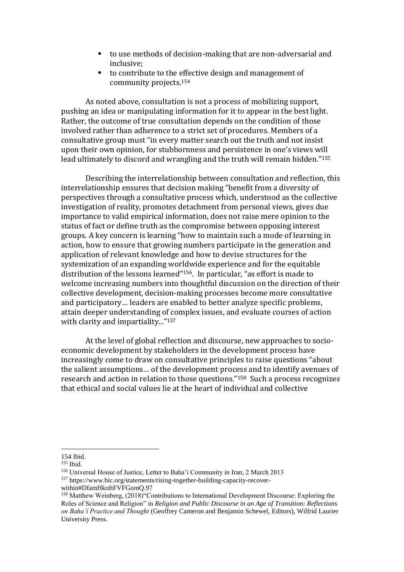- to use methods of decision-making that are non-adversarial and inclusive;
- to contribute to the effective design and management of community projects. 154

As noted above, consultation is not a process of mobilizing support, pushing an idea or manipulating information for it to appear in the best light. Rather, the outcome of true consultation depends on the condition of those involved rather than adherence to a strict set of procedures. Members of a consultative group must "in every matter search out the truth and not insist upon their own opinion, for stubbornness and persistence in one's views will lead ultimately to discord and wrangling and the truth will remain hidden." 155

Describing the interrelationship between consultation and reflection, this interrelationship ensures that decision making "benefit from a diversity of perspectives through a consultative process which, understood as the collective investigation of reality, promotes detachment from personal views, gives due importance to valid empirical information, does not raise mere opinion to the status of fact or define truth as the compromise between opposing interest groups. A key concern is learning "how to maintain such a mode of learning in action, how to ensure that growing numbers participate in the generation and application of relevant knowledge and how to devise structures for the systemization of an expanding worldwide experience and for the equitable distribution of the lessons learned"156. In particular, "as effort is made to welcome increasing numbers into thoughtful discussion on the direction of their collective development, decision-making processes become more consultative and participatory… leaders are enabled to better analyze specific problems, attain deeper understanding of complex issues, and evaluate courses of action with clarity and impartiality..."<sup>157</sup>

At the level of global reflection and discourse, new approaches to socioeconomic development by stakeholders in the development process have increasingly come to draw on consultative principles to raise questions "about the salient assumptions… of the development process and to identify avenues of research and action in relation to those questions."158 Such a process recognizes that ethical and social values lie at the heart of individual and collective

<sup>154</sup> Ibid.

<sup>155</sup> Ibid.

<sup>156</sup> Universal House of Justice, Letter to Baha'i Community in Iran, 2 March 2013 <sup>157</sup> https://www.bic.org/statements/rising-together-building-capacity-recoverwithin#DfamHkoftFVFGomQ.97

<sup>158</sup> Matthew Weinberg, (2018)"Contributions to International Development Discourse: Exploring the Roles of Science and Religion" in *Religion and Public Discourse in an Age of Transition: Reflections on Baha'i Practice and Thought* (Geoffrey Cameron and Benjamin Schewel, Editors), Wilfrid Laurier University Press.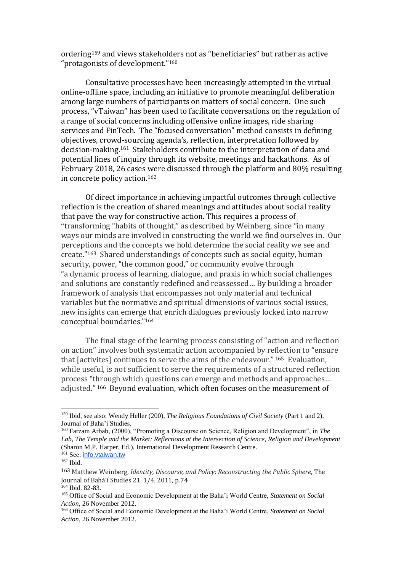ordering<sup>159</sup> and views stakeholders not as "beneficiaries" but rather as active "protagonists of development."<sup>160</sup>

Consultative processes have been increasingly attempted in the virtual online-offline space, including an initiative to promote meaningful deliberation among large numbers of participants on matters of social concern. One such process, "vTaiwan" has been used to facilitate conversations on the regulation of a range of social concerns including offensive online images, ride sharing services and FinTech. The "focused conversation" method consists in defining objectives, crowd-sourcing agenda's, reflection, interpretation followed by decision-making.161 Stakeholders contribute to the interpretation of data and potential lines of inquiry through its website, meetings and hackathons. As of February 2018, 26 cases were discussed through the platform and 80% resulting in concrete policy action.<sup>162</sup>

Of direct importance in achieving impactful outcomes through collective reflection is the creation of shared meanings and attitudes about social reality that pave the way for constructive action. This requires a process of "transforming "habits of thought," as described by Weinberg, since "in many ways our minds are involved in constructing the world we find ourselves in. Our perceptions and the concepts we hold determine the social reality we see and create." <sup>163</sup> Shared understandings of concepts such as social equity, human security, power, "the common good," or community evolve through "a dynamic process of learning, dialogue, and praxis in which social challenges and solutions are constantly redefined and reassessed… By building a broader framework of analysis that encompasses not only material and technical variables but the normative and spiritual dimensions of various social issues, new insights can emerge that enrich dialogues previously locked into narrow conceptual boundaries." 164

The final stage of the learning process consisting of "action and reflection on action" involves both systematic action accompanied by reflection to "ensure that [activites] continues to serve the aims of the endeavour." <sup>165</sup> Evaluation, while useful, is not sufficient to serve the requirements of a structured reflection process "through which questions can emerge and methods and approaches… adjusted." <sup>166</sup> Beyond evaluation, which often focuses on the measurement of

<sup>159</sup> Ibid, see also: Wendy Heller (200), *The Religious Foundations of Civil Society* (Part 1 and 2), Journal of Baha'i Studies.

<sup>160</sup> Farzam Arbab, (2000), "Promoting a Discourse on Science, Religion and Development", in *The Lab, The Temple and the Market: Reflections at the Intersection of Science, Religion and Development* (Sharon M.P. Harper, Ed.), International Development Research Centre.

<sup>&</sup>lt;sup>161</sup> See: [info.vtaiwan.tw](http://info.vtaiwan.tw/) <sup>162</sup> Ibid.

<sup>163</sup> Matthew Weinberg, *Identity, Discourse, and Policy: Reconstructing the Public Sphere*, The Journal of Bahá'í Studies 21. 1/4. 2011, p.74

<sup>164</sup> Ibid. 82-83.

<sup>165</sup> Office of Social and Economic Development at the Baha'i World Centre, *Statement on Social Action*, 26 November 2012.

<sup>166</sup> Office of Social and Economic Development at the Baha'i World Centre, *Statement on Social Action*, 26 November 2012.